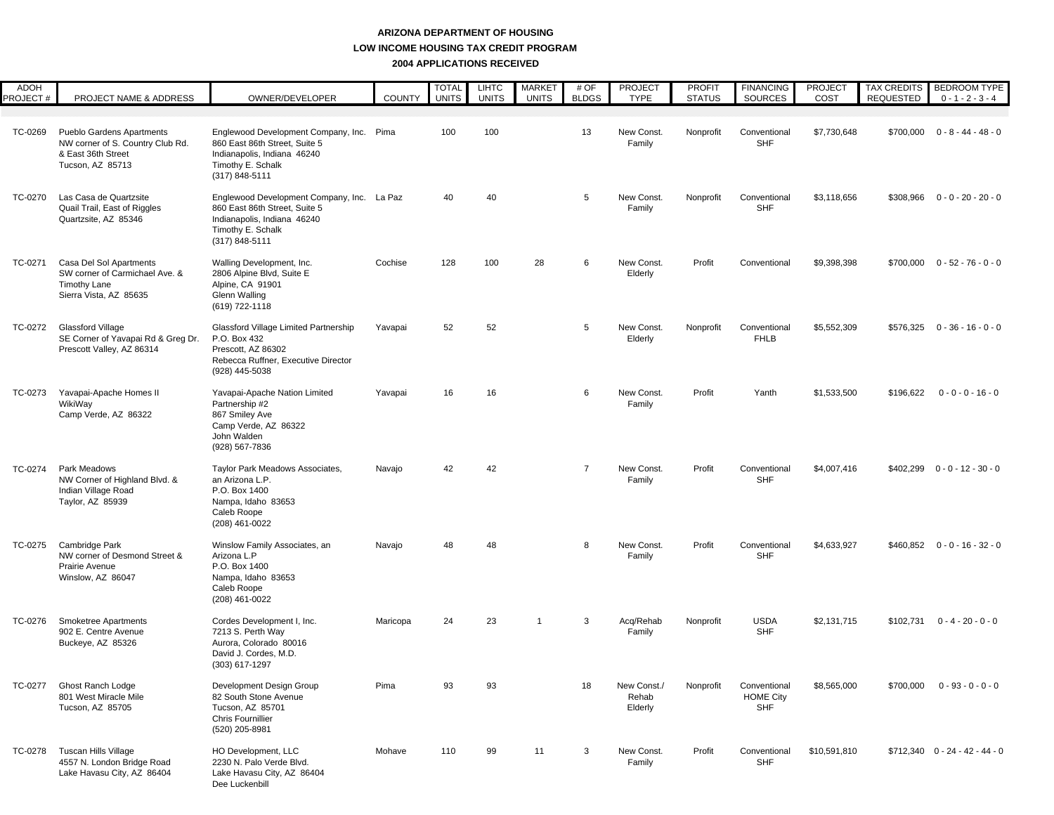| <b>ADOH</b><br><b>PROJECT#</b> | PROJECT NAME & ADDRESS                                                                                         | OWNER/DEVELOPER                                                                                                                                   | <b>COUNTY</b> | <b>TOTAL</b><br><b>UNITS</b> | <b>LIHTC</b><br><b>UNITS</b> | <b>MARKET</b><br><b>UNITS</b> | # OF<br><b>BLDGS</b> | <b>PROJECT</b><br><b>TYPE</b>   | <b>PROFIT</b><br><b>STATUS</b> | <b>FINANCING</b><br>SOURCES                    | <b>PROJECT</b><br>COST | <b>TAX CREDITS</b><br><b>REQUESTED</b> | <b>BEDROOM TYPE</b><br>$0 - 1 - 2 - 3 - 4$ |
|--------------------------------|----------------------------------------------------------------------------------------------------------------|---------------------------------------------------------------------------------------------------------------------------------------------------|---------------|------------------------------|------------------------------|-------------------------------|----------------------|---------------------------------|--------------------------------|------------------------------------------------|------------------------|----------------------------------------|--------------------------------------------|
| TC-0269                        | <b>Pueblo Gardens Apartments</b><br>NW corner of S. Country Club Rd.<br>& East 36th Street<br>Tucson, AZ 85713 | Englewood Development Company, Inc. Pima<br>860 East 86th Street, Suite 5<br>Indianapolis, Indiana 46240<br>Timothy E. Schalk<br>(317) 848-5111   |               | 100                          | 100                          |                               | 13                   | New Const.<br>Family            | Nonprofit                      | Conventional<br><b>SHF</b>                     | \$7,730,648            | \$700,000                              | $0 - 8 - 44 - 48 - 0$                      |
| TC-0270                        | Las Casa de Quartzsite<br>Quail Trail, East of Riggles<br>Quartzsite, AZ 85346                                 | Englewood Development Company, Inc. La Paz<br>860 East 86th Street, Suite 5<br>Indianapolis, Indiana 46240<br>Timothy E. Schalk<br>(317) 848-5111 |               | 40                           | 40                           |                               | 5                    | New Const<br>Family             | Nonprofit                      | Conventional<br><b>SHF</b>                     | \$3,118,656            | \$308,966                              | $0 - 0 - 20 - 20 - 0$                      |
| TC-0271                        | Casa Del Sol Apartments<br>SW corner of Carmichael Ave. &<br><b>Timothy Lane</b><br>Sierra Vista, AZ 85635     | Walling Development, Inc.<br>2806 Alpine Blvd, Suite E<br>Alpine, CA 91901<br>Glenn Walling<br>(619) 722-1118                                     | Cochise       | 128                          | 100                          | 28                            | 6                    | New Const.<br>Elderly           | Profit                         | Conventional                                   | \$9,398,398            | \$700,000                              | $0 - 52 - 76 - 0 - 0$                      |
| TC-0272                        | Glassford Village<br>SE Corner of Yavapai Rd & Greg Dr.<br>Prescott Valley, AZ 86314                           | Glassford Village Limited Partnership<br>P.O. Box 432<br>Prescott. AZ 86302<br>Rebecca Ruffner, Executive Director<br>(928) 445-5038              | Yavapai       | 52                           | 52                           |                               | 5                    | New Const.<br>Elderly           | Nonprofit                      | Conventional<br><b>FHLB</b>                    | \$5,552,309            | \$576,325                              | $0 - 36 - 16 - 0 - 0$                      |
| TC-0273                        | Yavapai-Apache Homes II<br>WikiWay<br>Camp Verde, AZ 86322                                                     | Yavapai-Apache Nation Limited<br>Partnership #2<br>867 Smiley Ave<br>Camp Verde, AZ 86322<br>John Walden<br>(928) 567-7836                        | Yavapai       | 16                           | 16                           |                               | 6                    | New Const.<br>Family            | Profit                         | Yanth                                          | \$1,533,500            | \$196,622                              | $0 - 0 - 0 - 16 - 0$                       |
| TC-0274                        | Park Meadows<br>NW Corner of Highland Blvd. &<br>Indian Village Road<br>Taylor, AZ 85939                       | Taylor Park Meadows Associates,<br>an Arizona L.P.<br>P.O. Box 1400<br>Nampa, Idaho 83653<br>Caleb Roope<br>(208) 461-0022                        | Navajo        | 42                           | 42                           |                               | $\overline{7}$       | New Const.<br>Family            | Profit                         | Conventional<br><b>SHF</b>                     | \$4,007,416            | \$402,299                              | $0 - 0 - 12 - 30 - 0$                      |
| TC-0275                        | Cambridge Park<br>NW corner of Desmond Street &<br>Prairie Avenue<br>Winslow, AZ 86047                         | Winslow Family Associates, an<br>Arizona L.P<br>P.O. Box 1400<br>Nampa, Idaho 83653<br>Caleb Roope<br>(208) 461-0022                              | Navajo        | 48                           | 48                           |                               | 8                    | New Const.<br>Family            | Profit                         | Conventional<br><b>SHF</b>                     | \$4,633,927            |                                        | $$460,852$ 0 - 0 - 16 - 32 - 0             |
| TC-0276                        | <b>Smoketree Apartments</b><br>902 E. Centre Avenue<br>Buckeye, AZ 85326                                       | Cordes Development I, Inc.<br>7213 S. Perth Way<br>Aurora, Colorado 80016<br>David J. Cordes, M.D.<br>(303) 617-1297                              | Maricopa      | 24                           | 23                           | $\overline{1}$                | 3                    | Acq/Rehab<br>Family             | Nonprofit                      | <b>USDA</b><br><b>SHF</b>                      | \$2,131,715            |                                        | $$102,731$ 0 - 4 - 20 - 0 - 0              |
|                                | TC-0277 Ghost Ranch Lodge<br>801 West Miracle Mile<br>Tucson, AZ 85705                                         | Development Design Group<br>82 South Stone Avenue<br>Tucson, AZ 85701<br>Chris Fournillier<br>(520) 205-8981                                      | Pima          | 93                           | 93                           |                               | 18                   | New Const./<br>Rehab<br>Elderly | Nonprofit                      | Conventional<br><b>HOME City</b><br><b>SHF</b> | \$8,565,000            | \$700,000                              | $0 - 93 - 0 - 0 - 0$                       |
| TC-0278                        | Tuscan Hills Village<br>4557 N. London Bridge Road<br>Lake Havasu City, AZ 86404                               | HO Development, LLC<br>2230 N. Palo Verde Blvd.<br>Lake Havasu City, AZ 86404<br>Dee Luckenbill                                                   | Mohave        | 110                          | 99                           | 11                            | 3                    | New Const.<br>Family            | Profit                         | Conventional<br><b>SHF</b>                     | \$10,591,810           |                                        | $$712,340$ 0 - 24 - 42 - 44 - 0            |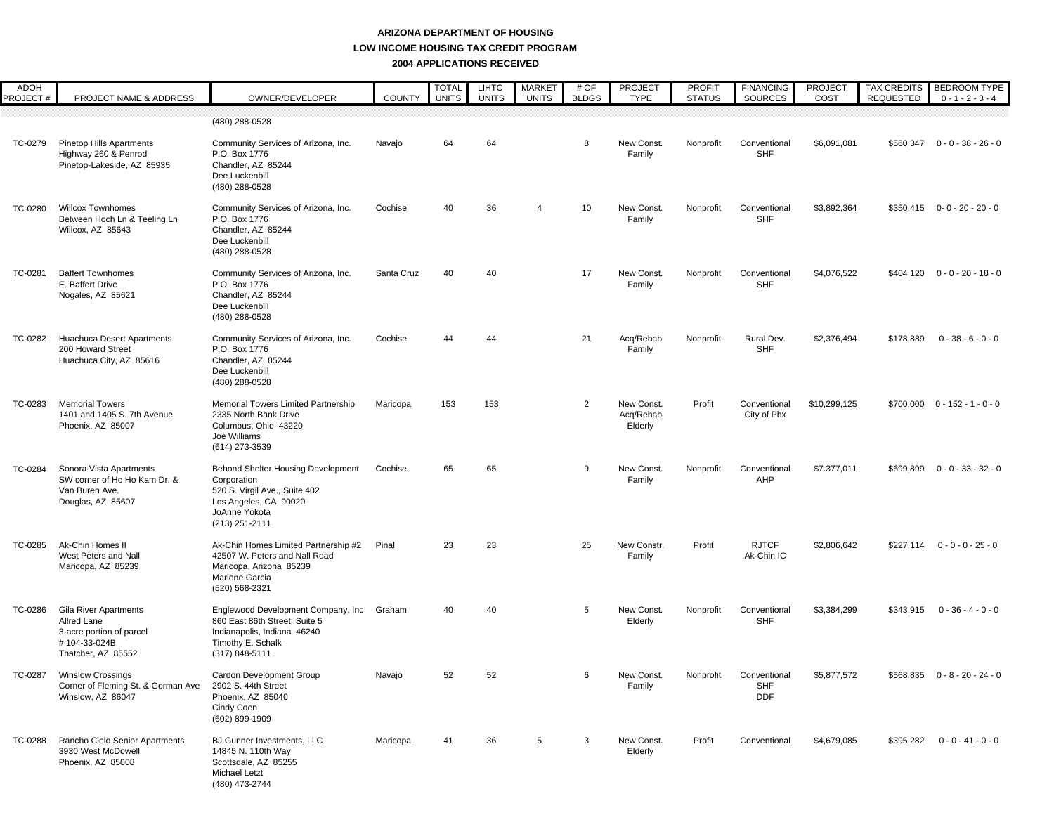| ADOH<br>PROJECT# | PROJECT NAME & ADDRESS                                                                                        | OWNER/DEVELOPER                                                                                                                                       | <b>COUNTY</b> | <b>TOTAL</b><br><b>UNITS</b> | <b>LIHTC</b><br><b>UNITS</b> | <b>MARKET</b><br><b>UNITS</b> | # OF<br><b>BLDGS</b> | <b>PROJECT</b><br><b>TYPE</b>      | <b>PROFIT</b><br><b>STATUS</b> | <b>FINANCING</b><br><b>SOURCES</b>       | <b>PROJECT</b><br>COST | <b>TAX CREDITS</b><br><b>REQUESTED</b> | <b>BEDROOM TYPE</b><br>$0 - 1 - 2 - 3 - 4$ |
|------------------|---------------------------------------------------------------------------------------------------------------|-------------------------------------------------------------------------------------------------------------------------------------------------------|---------------|------------------------------|------------------------------|-------------------------------|----------------------|------------------------------------|--------------------------------|------------------------------------------|------------------------|----------------------------------------|--------------------------------------------|
|                  |                                                                                                               | (480) 288-0528                                                                                                                                        |               |                              |                              |                               |                      |                                    |                                |                                          |                        |                                        |                                            |
| TC-0279          | <b>Pinetop Hills Apartments</b><br>Highway 260 & Penrod<br>Pinetop-Lakeside, AZ 85935                         | Community Services of Arizona, Inc.<br>P.O. Box 1776<br>Chandler, AZ 85244<br>Dee Luckenbill<br>(480) 288-0528                                        | Navajo        | 64                           | 64                           |                               | 8                    | New Const.<br>Family               | Nonprofit                      | Conventional<br><b>SHF</b>               | \$6,091,081            |                                        | $$560,347$ 0 - 0 - 38 - 26 - 0             |
| TC-0280          | <b>Willcox Townhomes</b><br>Between Hoch Ln & Teeling Ln<br>Willcox, AZ 85643                                 | Community Services of Arizona, Inc.<br>P.O. Box 1776<br>Chandler, AZ 85244<br>Dee Luckenbill<br>(480) 288-0528                                        | Cochise       | 40                           | 36                           |                               | 10                   | New Const.<br>Family               | Nonprofit                      | Conventional<br><b>SHF</b>               | \$3,892,364            |                                        | $$350,415$ 0-0-20-20-0                     |
| TC-0281          | <b>Baffert Townhomes</b><br>E. Baffert Drive<br>Nogales, AZ 85621                                             | Community Services of Arizona, Inc.<br>P.O. Box 1776<br>Chandler, AZ 85244<br>Dee Luckenbill<br>(480) 288-0528                                        | Santa Cruz    | 40                           | 40                           |                               | 17                   | New Const.<br>Family               | Nonprofit                      | Conventional<br><b>SHF</b>               | \$4,076,522            |                                        | $$404,120$ 0 - 0 - 20 - 18 - 0             |
| TC-0282          | <b>Huachuca Desert Apartments</b><br>200 Howard Street<br>Huachuca City, AZ 85616                             | Community Services of Arizona, Inc.<br>P.O. Box 1776<br>Chandler, AZ 85244<br>Dee Luckenbill<br>(480) 288-0528                                        | Cochise       | 44                           | 44                           |                               | 21                   | Acq/Rehab<br>Family                | Nonprofit                      | Rural Dev.<br><b>SHF</b>                 | \$2,376,494            | \$178,889                              | $0 - 38 - 6 - 0 - 0$                       |
| TC-0283          | <b>Memorial Towers</b><br>1401 and 1405 S. 7th Avenue<br>Phoenix, AZ 85007                                    | <b>Memorial Towers Limited Partnership</b><br>2335 North Bank Drive<br>Columbus, Ohio 43220<br>Joe Williams<br>(614) 273-3539                         | Maricopa      | 153                          | 153                          |                               | $\overline{2}$       | New Const.<br>Acq/Rehab<br>Elderly | Profit                         | Conventional<br>City of Phx              | \$10,299,125           |                                        | $$700,000$ 0 - 152 - 1 - 0 - 0             |
| TC-0284          | Sonora Vista Apartments<br>SW corner of Ho Ho Kam Dr. &<br>Van Buren Ave.<br>Douglas, AZ 85607                | <b>Behond Shelter Housing Development</b><br>Corporation<br>520 S. Virgil Ave., Suite 402<br>Los Angeles, CA 90020<br>JoAnne Yokota<br>(213) 251-2111 | Cochise       | 65                           | 65                           |                               | 9                    | New Const.<br>Family               | Nonprofit                      | Conventional<br>AHP                      | \$7.377,011            |                                        | $$699,899$ 0 - 0 - 33 - 32 - 0             |
| TC-0285          | Ak-Chin Homes II<br>West Peters and Nall<br>Maricopa, AZ 85239                                                | Ak-Chin Homes Limited Partnership #2<br>42507 W. Peters and Nall Road<br>Maricopa, Arizona 85239<br>Marlene Garcia<br>(520) 568-2321                  | Pinal         | 23                           | 23                           |                               | 25                   | New Constr.<br>Family              | Profit                         | <b>RJTCF</b><br>Ak-Chin IC               | \$2,806,642            | \$227,114                              | $0 - 0 - 0 - 25 - 0$                       |
| TC-0286          | <b>Gila River Apartments</b><br>Allred Lane<br>3-acre portion of parcel<br>#104-33-024B<br>Thatcher, AZ 85552 | Englewood Development Company, Inc Graham<br>860 East 86th Street, Suite 5<br>Indianapolis, Indiana 46240<br>Timothy E. Schalk<br>$(317) 848 - 5111$  |               | 40                           | 40                           |                               | 5                    | New Const.<br>Elderly              | Nonprofit                      | Conventional<br><b>SHF</b>               | \$3,384,299            | \$343,915                              | $0 - 36 - 4 - 0 - 0$                       |
|                  | TC-0287 Winslow Crossings<br>Corner of Fleming St. & Gorman Ave<br>Winslow, AZ 86047                          | Cardon Development Group<br>2902 S. 44th Street<br>Phoenix, AZ 85040<br>Cindy Coen<br>(602) 899-1909                                                  | Navajo        | 52                           | 52                           |                               |                      | New Const.<br>Family               | Nonprofit                      | Conventional<br><b>SHF</b><br><b>DDF</b> | \$5,877,572            |                                        | $$568,835$ 0 - 8 - 20 - 24 - 0             |
| TC-0288          | Rancho Cielo Senior Apartments<br>3930 West McDowell<br>Phoenix, AZ 85008                                     | BJ Gunner Investments, LLC<br>14845 N. 110th Way<br>Scottsdale, AZ 85255<br>Michael Letzt<br>(480) 473-2744                                           | Maricopa      | 41                           | 36                           | 5                             | 3                    | New Const.<br>Elderly              | Profit                         | Conventional                             | \$4,679,085            |                                        | $$395,282$ 0 - 0 - 41 - 0 - 0              |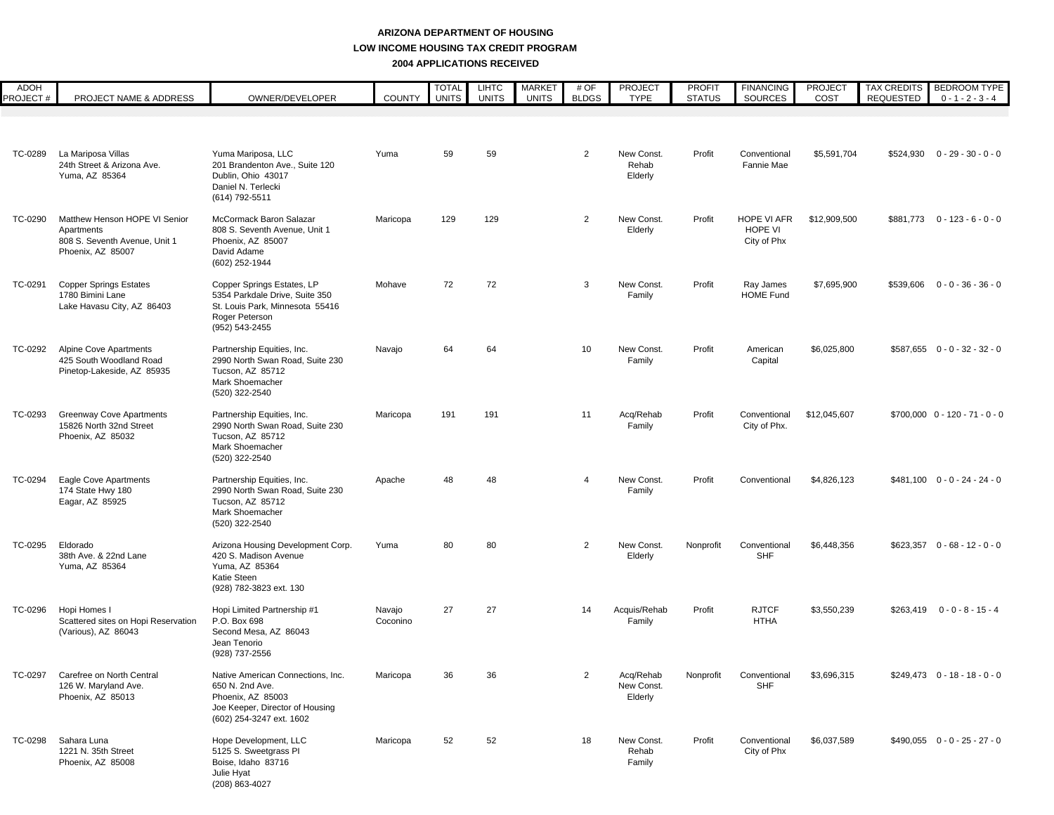| ADOH<br>PROJECT# | PROJECT NAME & ADDRESS                                                                            | OWNER/DEVELOPER                                                                                                                          | <b>COUNTY</b>      | <b>TOTAL</b><br><b>UNITS</b> | <b>LIHTC</b><br><b>UNITS</b> | <b>MARKET</b><br><b>UNITS</b> | # OF<br><b>BLDGS</b> | <b>PROJECT</b><br><b>TYPE</b>      | <b>PROFIT</b><br><b>STATUS</b> | <b>FINANCING</b><br><b>SOURCES</b>    | <b>PROJECT</b><br>COST | <b>REQUESTED</b> | TAX CREDITS BEDROOM TYPE<br>$0 - 1 - 2 - 3 - 4$ |
|------------------|---------------------------------------------------------------------------------------------------|------------------------------------------------------------------------------------------------------------------------------------------|--------------------|------------------------------|------------------------------|-------------------------------|----------------------|------------------------------------|--------------------------------|---------------------------------------|------------------------|------------------|-------------------------------------------------|
|                  |                                                                                                   |                                                                                                                                          |                    |                              |                              |                               |                      |                                    |                                |                                       |                        |                  |                                                 |
|                  |                                                                                                   |                                                                                                                                          |                    |                              |                              |                               |                      |                                    |                                |                                       |                        |                  |                                                 |
| TC-0289          | La Mariposa Villas<br>24th Street & Arizona Ave.<br>Yuma, AZ 85364                                | Yuma Mariposa, LLC<br>201 Brandenton Ave., Suite 120<br>Dublin, Ohio 43017<br>Daniel N. Terlecki<br>(614) 792-5511                       | Yuma               | 59                           | 59                           |                               | $\overline{2}$       | New Const.<br>Rehab<br>Elderly     | Profit                         | Conventional<br>Fannie Mae            | \$5,591,704            |                  | $$524,930$ 0 - 29 - 30 - 0 - 0                  |
| TC-0290          | Matthew Henson HOPE VI Senior<br>Apartments<br>808 S. Seventh Avenue, Unit 1<br>Phoenix, AZ 85007 | McCormack Baron Salazar<br>808 S. Seventh Avenue, Unit 1<br>Phoenix, AZ 85007<br>David Adame<br>(602) 252-1944                           | Maricopa           | 129                          | 129                          |                               | $\overline{2}$       | New Const.<br>Elderly              | Profit                         | HOPE VI AFR<br>HOPE VI<br>City of Phx | \$12,909,500           |                  | $$881,773$ 0 - 123 - 6 - 0 - 0                  |
| TC-0291          | <b>Copper Springs Estates</b><br>1780 Bimini Lane<br>Lake Havasu City, AZ 86403                   | Copper Springs Estates, LP<br>5354 Parkdale Drive, Suite 350<br>St. Louis Park, Minnesota 55416<br>Roger Peterson<br>(952) 543-2455      | Mohave             | 72                           | 72                           |                               | 3                    | New Const.<br>Family               | Profit                         | Ray James<br><b>HOME Fund</b>         | \$7,695,900            |                  | $$539,606$ 0 - 0 - 36 - 36 - 0                  |
| TC-0292          | Alpine Cove Apartments<br>425 South Woodland Road<br>Pinetop-Lakeside, AZ 85935                   | Partnership Equities, Inc.<br>2990 North Swan Road, Suite 230<br>Tucson, AZ 85712<br>Mark Shoemacher<br>(520) 322-2540                   | Navajo             | 64                           | 64                           |                               | 10                   | New Const.<br>Family               | Profit                         | American<br>Capital                   | \$6,025,800            |                  | $$587.655$ 0 - 0 - 32 - 32 - 0                  |
| TC-0293          | <b>Greenway Cove Apartments</b><br>15826 North 32nd Street<br>Phoenix, AZ 85032                   | Partnership Equities, Inc.<br>2990 North Swan Road, Suite 230<br>Tucson, AZ 85712<br>Mark Shoemacher<br>(520) 322-2540                   | Maricopa           | 191                          | 191                          |                               | 11                   | Acq/Rehab<br>Family                | Profit                         | Conventional<br>City of Phx.          | \$12.045.607           |                  | $$700,000$ 0 - 120 - 71 - 0 - 0                 |
| TC-0294          | <b>Eagle Cove Apartments</b><br>174 State Hwy 180<br>Eagar, AZ 85925                              | Partnership Equities, Inc.<br>2990 North Swan Road, Suite 230<br>Tucson, AZ 85712<br>Mark Shoemacher<br>(520) 322-2540                   | Apache             | 48                           | 48                           |                               | 4                    | New Const.<br>Family               | Profit                         | Conventional                          | \$4,826,123            |                  | $$481,100$ 0 - 0 - 24 - 24 - 0                  |
| TC-0295          | Eldorado<br>38th Ave. & 22nd Lane<br>Yuma, AZ 85364                                               | Arizona Housing Development Corp.<br>420 S. Madison Avenue<br>Yuma, AZ 85364<br>Katie Steen<br>(928) 782-3823 ext. 130                   | Yuma               | 80                           | 80                           |                               | 2                    | New Const.<br>Elderly              | Nonprofit                      | Conventional<br><b>SHF</b>            | \$6,448,356            |                  | $$623,357$ 0 - 68 - 12 - 0 - 0                  |
| TC-0296          | Hopi Homes I<br>Scattered sites on Hopi Reservation<br>(Various), AZ 86043                        | Hopi Limited Partnership #1<br>P.O. Box 698<br>Second Mesa, AZ 86043<br>Jean Tenorio<br>(928) 737-2556                                   | Navajo<br>Coconino | 27                           | 27                           |                               | 14                   | Acquis/Rehab<br>Family             | Profit                         | <b>RJTCF</b><br><b>HTHA</b>           | \$3,550,239            |                  | $$263,419$ 0 - 0 - 8 - 15 - 4                   |
|                  | TC-0297 Carefree on North Central<br>126 W. Maryland Ave.<br>Phoenix, AZ 85013                    | Native American Connections, Inc.<br>650 N. 2nd Ave.<br>Phoenix, AZ 85003<br>Joe Keeper, Director of Housing<br>(602) 254-3247 ext. 1602 | Maricopa           |                              | 36                           |                               |                      | Acq/Rehab<br>New Const.<br>Elderly |                                | Nonprofit Conventional<br><b>SHF</b>  | \$3,696,315            |                  | $$249,473$ 0 - 18 - 18 - 0 - 0                  |
| TC-0298          | Sahara Luna<br>1221 N. 35th Street<br>Phoenix, AZ 85008                                           | Hope Development, LLC<br>5125 S. Sweetgrass PI<br>Boise, Idaho 83716<br>Julie Hyat<br>(208) 863-4027                                     | Maricopa           | 52                           | 52                           |                               | 18                   | New Const.<br>Rehab<br>Family      | Profit                         | Conventional<br>City of Phx           | \$6,037,589            |                  | $$490,055$ 0 - 0 - 25 - 27 - 0                  |